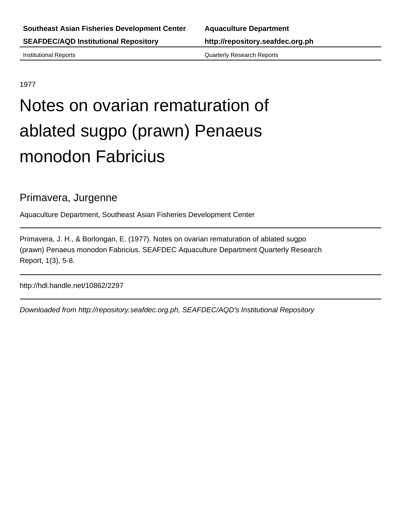Institutional Reports Quarterly Research Reports

# 1977

# Notes on ovarian rematuration of ablated sugpo (prawn) Penaeus monodon Fabricius

# Primavera, Jurgenne

Aquaculture Department, Southeast Asian Fisheries Development Center

Primavera, J. H., & Borlongan, E. (1977). Notes on ovarian rematuration of ablated sugpo (prawn) Penaeus monodon Fabricius. SEAFDEC Aquaculture Department Quarterly Research Report, 1(3), 5-8.

http://hdl.handle.net/10862/2297

Downloaded from http://repository.seafdec.org.ph, SEAFDEC/AQD's Institutional Repository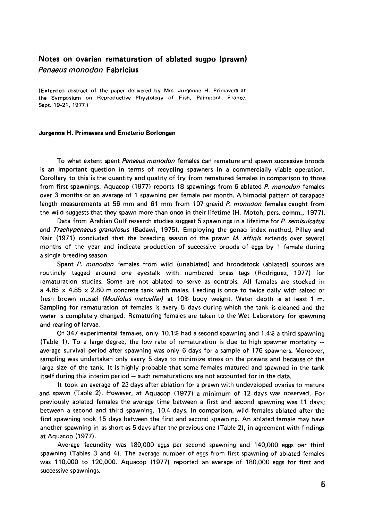# **Notes on ovarian rematuration of ablated sugpo (prawn)** *Penaeus monodon* **Fabricius**

(Extended abstract of the paper delivered by Mrs. Jurgenne H. Primavera at the Symposium on Reproductive Physiology of Fish, Paimpont, France, Sept. 19-21, 1977.)

#### **Jurgenne H. Primavera and Emeterio Borlongan**

To what extent spent *Penaeus monodon* females can remature and spawn successive broods is an important question in terms of recycling spawners in a commercially viable operation. Corollary to this is the quantity and quality of fry from rematured females in comparison to those from first spawnings. Aquacop (1977) reports 18 spawnings from 6 ablated *P. monodon* females over 3 months or an average of 1 spawning per female per month. A bimodal pattern of carapace length measurements at 56 mm and 61 mm from 107 gravid *P. monodon* females caught from the wild suggests that they spawn more than once in their lifetime (H. Motoh, pers. comm., 1977).

Data from Arabian Gulf research studies suggest 5 spawnings in a lifetime for P. semisulcatus and *Trachypenaeus granulosus* (Badawi, 1975). Employing the gonad index method, Pillay and Nair (1971) concluded that the breeding season of the prawn *M. affinis* extends over several months of the year and indicate production of successive broods of eggs by 1 female during a single breeding season.

Spent *P. monodon* females from wild (unablated) and broodstock (ablated) sources are routinely tagged around one eyestalk with numbered brass tags (Rodriguez, 1977) for rematuration studies. Some are not ablated to serve as controls. All females are stocked in a 4.85  $\times$  4.85  $\times$  2.80 m concrete tank with males. Feeding is once to twice daily with salted or fresh brown mussel *(Modiolus metcalfei)* at 10% body weight. Water depth is at least 1 m. Sampling for rematuration of females is every 5 days during which the tank is cleaned and the water is completely changed. Rematuring females are taken to the Wet Laboratory for spawning and rearing of larvae.

Of 347 experimental females, only 10.1% had a second spawning and 1.4% a third spawning (Table 1). To a large degree, the low rate of rematuration is due to high spawner mortality  $$ average survival period after spawning was only 6 days for a sample of 176 spawners. Moreover, sampling was undertaken only every 5 days to minimize stress on the prawns and because of the large size of the tank. It is highly probable that some females matured and spawned in the tank itself during this interim period - such rematurations are not accounted for in the data.

It took an average of 23 days after ablation for a prawn with undeveloped ovaries to mature and spawn (Table 2). However, at Aquacop (1977) a minimum of 12 days was observed. For previously ablated females the average time between a first and second spawning was 11 days; between a second and third spawning, 10.4 days. In comparison, w ild females ablated after the first spawning took 15 days between the first and second spawning. An ablated female may have another spawning in as short as 5 days after the previous one (Table 2), in agreement with findings at Aquacop (1977).

Average fecundity was 180,000 eggs per second spawning and 140,000 eggs per third spawning (Tables 3 and 4). The average number of eggs from first spawning of ablated females was 110,000 to 120,000. Aquacop (1977) reported an average of 180,000 eggs for first and successive spawnings.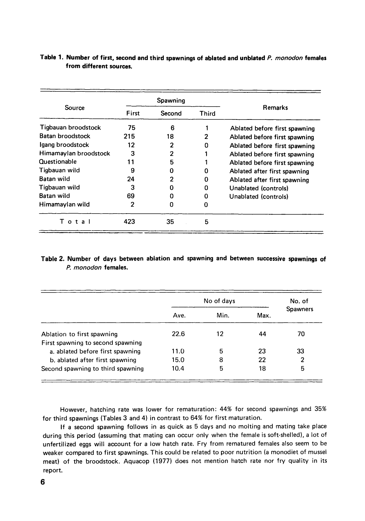|                       |       | Spawning       |       |                               |  |  |
|-----------------------|-------|----------------|-------|-------------------------------|--|--|
| <b>Source</b>         | First | Second         | Third | <b>Remarks</b>                |  |  |
| Tigbauan broodstock   | 75    | 6              |       | Ablated before first spawning |  |  |
| Batan broodstock      | 215   | 18             | 2     | Ablated before first spawning |  |  |
| lgang broodstock      | 12    | 2              | 0     | Ablated before first spawning |  |  |
| Himamaylan broodstock | 3     | $\overline{2}$ |       | Ablated before first spawning |  |  |
| Ouestionable          | 11    | 5              |       | Ablated before first spawning |  |  |
| Tiqbauan wild         | 9     |                | Ω     | Ablated after first spawning  |  |  |
| Batan wild            | 24    | 2              | 0     | Ablated after first spawning  |  |  |
| Tigbauan wild         | 3     |                | 0     | Unablated (controls)          |  |  |
| <b>Batan wild</b>     | 69    |                | 0     | Unablated (controls)          |  |  |
| Himamaylan wild       | 2     |                | 0     |                               |  |  |
| Total                 | 423   | 35             | 5     |                               |  |  |

# Table 1. Number of first, second and third spawnings of ablated and unblated P. monodon females from different sources.

# Table 2. Number of days between ablation and spawning and between successive spawnings of *P. monodon* females.

|                                   |      | No. of |      |                 |
|-----------------------------------|------|--------|------|-----------------|
|                                   | Ave. | Min.   | Max. | <b>Spawners</b> |
| Ablation to first spawning        | 22.6 | 12     | 44   | 70              |
| First spawning to second spawning |      |        |      |                 |
| a. ablated before first spawning  | 11.0 | 5      | 23   | 33              |
| b. ablated after first spawning   | 15.0 | 8      | 22   | 2               |
| Second spawning to third spawning | 10.4 | 5      | 18   | 5               |

However, hatching rate was lower for rematuration: 44% for second spawnings and 35% for third spawnings (Tables 3 and 4) in contrast to 64% for first maturation.

If a second spawning follows in as quick as 5 days and no molting and mating take place during this period (assuming that mating can occur only when the female is soft-shelled), a lot of unfertilized eggs will account for a low hatch rate. Fry from rematured females also seem to be weaker compared to first spawnings. This could be related to poor nutrition (a monodiet of mussel meat) of the broodstock. Aquacop (1977) does not mention hatch rate nor fry quality in its report.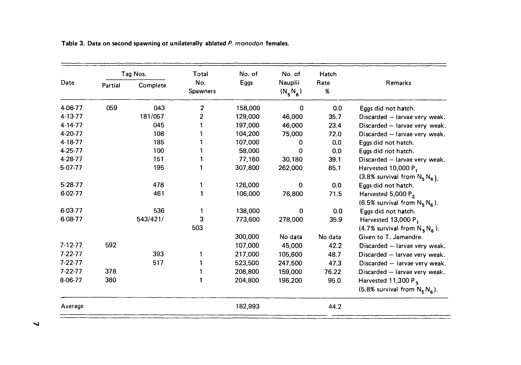| Date          | Tag Nos. |          | Total                  | No. of  | No. of                | Hatch     |                                     |
|---------------|----------|----------|------------------------|---------|-----------------------|-----------|-------------------------------------|
|               | Partial  | Complete | No.<br><b>Spawners</b> | Eggs    | Nauplii<br>$(N_5N_6)$ | Rate<br>% | <b>Remarks</b>                      |
| 4-06-77       | 059      | 043      | $\overline{2}$         | 158,000 | 0                     | 0.0       | Eggs did not hatch.                 |
| 4-13-77       |          | 181/057  | 2                      | 129,000 | 46,000                | 35.7      | Discarded - larvae very weak.       |
| $4 - 14 - 77$ |          | 045      |                        | 197,000 | 46,000                | 23.4      | Discarded - larvae very weak.       |
| 4-20-77       |          | 108      |                        | 104,200 | 75,000                | 72.0      | Discarded - larvae very weak.       |
| 4-18-77       |          | 185      |                        | 107,000 | 0                     | 0.0       | Eggs did not hatch.                 |
| $4 - 25 - 77$ |          | 100      |                        | 58,000  | 0                     | 0.0       | Eggs did not hatch.                 |
| 4-28-77       |          | 151      |                        | 77,160  | 30,180                | 39.1      | Discarded - larvae very weak.       |
| $5-07-77$     |          | 195      |                        | 307,800 | 262,000               | 85.1      | Harvested 10,000 P <sub>1</sub>     |
|               |          |          |                        |         |                       |           | $(3.8\%$ survival from $N_5N_6$ ).  |
| $5-28-77$     |          | 478      | 1                      | 126,000 | $\mathbf{0}$          | 0.0       | Eggs did not hatch.                 |
| 6-02-77       |          | 461      |                        | 106,000 | 76,800                | 71.5      | Harvested 5,000 P <sub>2</sub>      |
|               |          |          |                        |         |                       |           | $(6.5\%$ survival from $N_5 N_6$ ). |
| 6-03-77       |          | 536      |                        | 138,000 | 0                     | 0.0       | Eggs did not hatch.                 |
| 6-08-77       |          | 543/421/ | 3                      | 773,600 | 278,000               | 35.9      | Harvested 13,000 P <sub>1</sub>     |
|               |          |          | 503                    |         |                       |           | $(4.7\%$ survival from $N_S N_G$ ). |
|               |          |          |                        | 300,000 | No data               | No data   | Given to T. Jamandre.               |
| 7.12.77       | 592      |          |                        | 107,000 | 45,000                | 42.2      | Discarded - larvae very weak.       |
| $7-22-77$     |          | 393      |                        | 217,000 | 105,600               | 48.7      | Discarded - larvae very weak.       |
| $7 - 22 - 77$ |          | 517      |                        | 523,500 | 247,500               | 47.3      | Discarded - larvae very weak.       |
| $7 - 22 - 77$ | 378      |          |                        | 208,800 | 159,000               | 76.22     | Discarded - larvae very weak.       |
| 8-06-77       | 380      |          |                        | 204,800 | 196,200               | 95.0      | Harvested 11,300 P <sub>3</sub>     |
|               |          |          |                        |         |                       |           | (5.8% survival from $N_5N_6$ ).     |
| Average       |          |          |                        | 182,993 |                       | 44.2      |                                     |

Table 3. Data on second spawning ot unilaterally ablated *P. monodon* females.